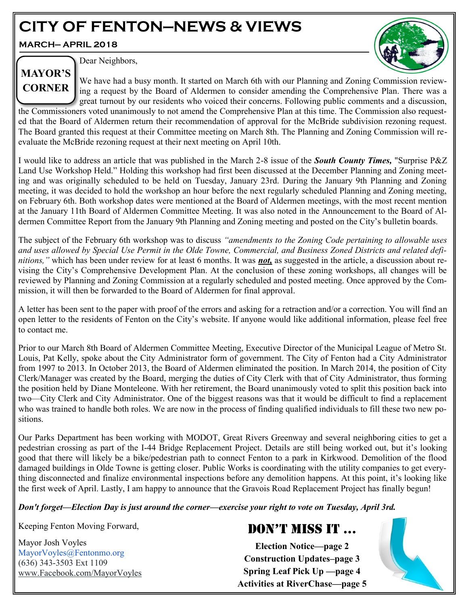# **CITY OF FENTON—NEWS & VIEWS**

**MARCH— APRIL 2018**



Dear Neighbors,

We have had a busy month. It started on March 6th with our Planning and Zoning Commission reviewing a request by the Board of Aldermen to consider amending the Comprehensive Plan. There was a great turnout by our residents who voiced their concerns. Following public comments and a discussion, the Commissioners voted unanimously to not amend the Comprehensive Plan at this time. The Commission also requested that the Board of Aldermen return their recommendation of approval for the McBride subdivision rezoning request. **MAYOR'S CORNER**

The Board granted this request at their Committee meeting on March 8th. The Planning and Zoning Commission will reevaluate the McBride rezoning request at their next meeting on April 10th.

I would like to address an article that was published in the March 2-8 issue of the *South County Times,* "Surprise P&Z Land Use Workshop Held." Holding this workshop had first been discussed at the December Planning and Zoning meeting and was originally scheduled to be held on Tuesday, January 23rd. During the January 9th Planning and Zoning meeting, it was decided to hold the workshop an hour before the next regularly scheduled Planning and Zoning meeting, on February 6th. Both workshop dates were mentioned at the Board of Aldermen meetings, with the most recent mention at the January 11th Board of Aldermen Committee Meeting. It was also noted in the Announcement to the Board of Aldermen Committee Report from the January 9th Planning and Zoning meeting and posted on the City's bulletin boards.

The subject of the February 6th workshop was to discuss *"amendments to the Zoning Code pertaining to allowable uses and uses allowed by Special Use Permit in the Olde Towne, Commercial, and Business Zoned Districts and related definitions,"* which has been under review for at least 6 months. It was *not,* as suggested in the article, a discussion about revising the City's Comprehensive Development Plan. At the conclusion of these zoning workshops, all changes will be reviewed by Planning and Zoning Commission at a regularly scheduled and posted meeting. Once approved by the Commission, it will then be forwarded to the Board of Aldermen for final approval.

A letter has been sent to the paper with proof of the errors and asking for a retraction and/or a correction. You will find an open letter to the residents of Fenton on the City's website. If anyone would like additional information, please feel free to contact me.

Prior to our March 8th Board of Aldermen Committee Meeting, Executive Director of the Municipal League of Metro St. Louis, Pat Kelly, spoke about the City Administrator form of government. The City of Fenton had a City Administrator from 1997 to 2013. In October 2013, the Board of Aldermen eliminated the position. In March 2014, the position of City Clerk/Manager was created by the Board, merging the duties of City Clerk with that of City Administrator, thus forming the position held by Diane Monteleone. With her retirement, the Board unanimously voted to split this position back into two—City Clerk and City Administrator. One of the biggest reasons was that it would be difficult to find a replacement who was trained to handle both roles. We are now in the process of finding qualified individuals to fill these two new positions.

Our Parks Department has been working with MODOT, Great Rivers Greenway and several neighboring cities to get a pedestrian crossing as part of the I-44 Bridge Replacement Project. Details are still being worked out, but it's looking good that there will likely be a bike/pedestrian path to connect Fenton to a park in Kirkwood. Demolition of the flood damaged buildings in Olde Towne is getting closer. Public Works is coordinating with the utility companies to get everything disconnected and finalize environmental inspections before any demolition happens. At this point, it's looking like the first week of April. Lastly, I am happy to announce that the Gravois Road Replacement Project has finally begun!

*Don't forget—Election Day is just around the corner—exercise your right to vote on Tuesday, April 3rd.* 

Keeping Fenton Moving Forward,

Mayor Josh Voyles MayorVoyles@Fentonmo.org (636) 343-3503 Ext 1109 www.Facebook.com/MayorVoyles

# DON'T MISS IT ...

**Election Notice—page 2 Construction Updates–page 3 Spring Leaf Pick Up —page 4 Activities at RiverChase—page 5**

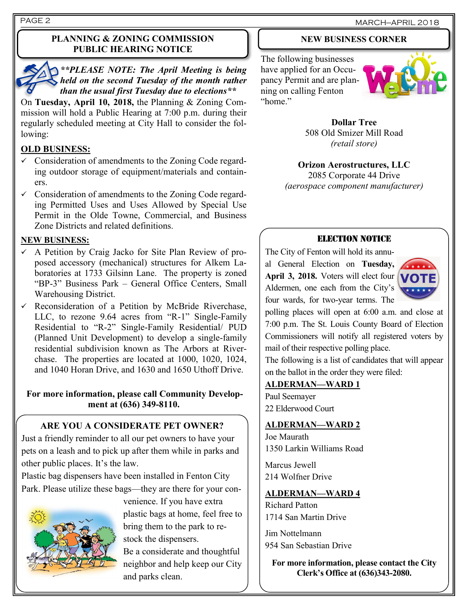#### **PLANNING & ZONING COMMISSION PUBLIC HEARING NOTICE**

*\*\*PLEASE NOTE: The April Meeting is being held on the second Tuesday of the month rather than the usual first Tuesday due to elections\*\**

On **Tuesday, April 10, 2018,** the Planning & Zoning Commission will hold a Public Hearing at 7:00 p.m. during their regularly scheduled meeting at City Hall to consider the following:

#### **OLD BUSINESS:**

- $\checkmark$  Consideration of amendments to the Zoning Code regarding outdoor storage of equipment/materials and containers.
- $\checkmark$  Consideration of amendments to the Zoning Code regarding Permitted Uses and Uses Allowed by Special Use Permit in the Olde Towne, Commercial, and Business Zone Districts and related definitions.

#### **NEW BUSINESS:**

- ✓ A Petition by Craig Jacko for Site Plan Review of proposed accessory (mechanical) structures for Alkem Laboratories at 1733 Gilsinn Lane. The property is zoned "BP-3" Business Park – General Office Centers, Small Warehousing District.
- $\checkmark$  Reconsideration of a Petition by McBride Riverchase, LLC, to rezone 9.64 acres from "R-1" Single-Family Residential to "R-2" Single-Family Residential/ PUD (Planned Unit Development) to develop a single-family residential subdivision known as The Arbors at Riverchase. The properties are located at 1000, 1020, 1024, and 1040 Horan Drive, and 1630 and 1650 Uthoff Drive.

#### **For more information, please call Community Development at (636) 349-8110.**

# **ARE YOU A CONSIDERATE PET OWNER?**

Just a friendly reminder to all our pet owners to have your pets on a leash and to pick up after them while in parks and other public places. It's the law.

Plastic bag dispensers have been installed in Fenton City Park. Please utilize these bags—they are there for your con-



venience. If you have extra plastic bags at home, feel free to bring them to the park to restock the dispensers.

Be a considerate and thoughtful neighbor and help keep our City and parks clean.

# **NEW BUSINESS CORNER**

The following businesses have applied for an Occupancy Permit and are planning on calling Fenton "home"



**Dollar Tree** 508 Old Smizer Mill Road *(retail store)*

**Orizon Aerostructures, LLC** 2085 Corporate 44 Drive *(aerospace component manufacturer)*

#### ELECTION NOTICE

The City of Fenton will hold its annual General Election on **Tuesday, April 3, 2018.** Voters will elect four Aldermen, one each from the City's four wards, for two-year terms. The



polling places will open at 6:00 a.m. and close at 7:00 p.m. The St. Louis County Board of Election Commissioners will notify all registered voters by mail of their respective polling place.

The following is a list of candidates that will appear on the ballot in the order they were filed:

#### **ALDERMAN—WARD 1**

Paul Seemayer 22 Elderwood Court

#### **ALDERMAN—WARD 2**

Joe Maurath 1350 Larkin Williams Road

Marcus Jewell 214 Wolfner Drive

#### **ALDERMAN—WARD 4**

Richard Patton 1714 San Martin Drive

Jim Nottelmann 954 San Sebastian Drive

**For more information, please contact the City Clerk's Office at (636)343-2080.**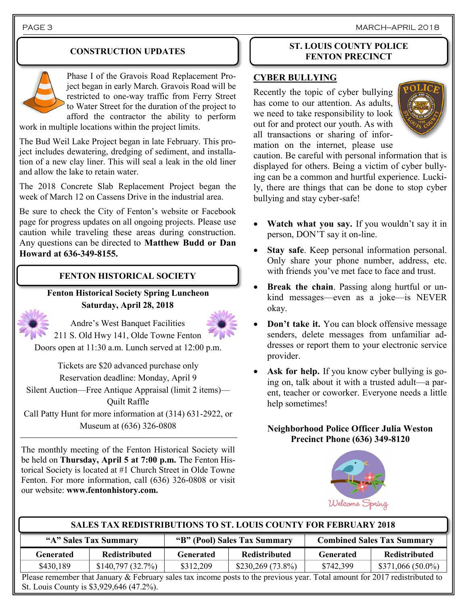PAGE 3 MARCH—APRIL 2018

#### **CONSTRUCTION UPDATES**



Phase I of the Gravois Road Replacement Project began in early March. Gravois Road will be restricted to one-way traffic from Ferry Street to Water Street for the duration of the project to afford the contractor the ability to perform

work in multiple locations within the project limits.

The Bud Weil Lake Project began in late February. This project includes dewatering, dredging of sediment, and installation of a new clay liner. This will seal a leak in the old liner and allow the lake to retain water.

The 2018 Concrete Slab Replacement Project began the week of March 12 on Cassens Drive in the industrial area.

Be sure to check the City of Fenton's website or Facebook page for progress updates on all ongoing projects. Please use caution while traveling these areas during construction. Any questions can be directed to **Matthew Budd or Dan Howard at 636-349-8155.**

#### **FENTON HISTORICAL SOCIETY**

**Fenton Historical Society Spring Luncheon Saturday, April 28, 2018**



Andre's West Banquet Facilities

211 S. Old Hwy 141, Olde Towne Fenton Doors open at 11:30 a.m. Lunch served at 12:00 p.m.

> Tickets are \$20 advanced purchase only Reservation deadline: Monday, April 9

Silent Auction—Free Antique Appraisal (limit 2 items)— Quilt Raffle

Call Patty Hunt for more information at (314) 631-2922, or Museum at (636) 326-0808

The monthly meeting of the Fenton Historical Society will be held on **Thursday, April 5 at 7:00 p.m.** The Fenton Historical Society is located at #1 Church Street in Olde Towne Fenton. For more information, call (636) 326-0808 or visit our website: **www.fentonhistory.com.**

#### **ST. LOUIS COUNTY POLICE FENTON PRECINCT**

#### **CYBER BULLYING**

Recently the topic of cyber bullying has come to our attention. As adults, we need to take responsibility to look out for and protect our youth. As with all transactions or sharing of information on the internet, please use



caution. Be careful with personal information that is displayed for others. Being a victim of cyber bullying can be a common and hurtful experience. Luckily, there are things that can be done to stop cyber bullying and stay cyber-safe!

- **Watch what you say.** If you wouldn't say it in person, DON'T say it on-line.
- Stay safe. Keep personal information personal. Only share your phone number, address, etc. with friends you've met face to face and trust.
- **Break the chain**. Passing along hurtful or unkind messages—even as a joke—is NEVER okay.
- **Don't take it.** You can block offensive message senders, delete messages from unfamiliar addresses or report them to your electronic service provider.
- **Ask for help.** If you know cyber bullying is going on, talk about it with a trusted adult—a parent, teacher or coworker. Everyone needs a little help sometimes!

**Neighborhood Police Officer Julia Weston Precinct Phone (636) 349-8120**



#### **SALES TAX REDISTRIBUTIONS TO ST. LOUIS COUNTY FOR FEBRUARY 2018**

| "A" Sales Tax Summary |                      | "B" (Pool) Sales Tax Summary |                      | <b>Combined Sales Tax Summary</b> |                      |
|-----------------------|----------------------|------------------------------|----------------------|-----------------------------------|----------------------|
| Generated             | <b>Redistributed</b> | <b>Generated</b>             | <b>Redistributed</b> | Generated                         | <b>Redistributed</b> |
| \$430,189             | \$140,797(32.7%)     | \$312,209                    | $$230,269(73.8\%)$   | \$742,399                         | $$371,066(50.0\%)$   |
|                       | $00$ n 1             |                              |                      |                                   | $0.017 - 1.11 + 1.1$ |

Please remember that January & February sales tax income posts to the previous year. Total amount for 2017 redistributed to St. Louis County is \$3,929,646 (47.2%).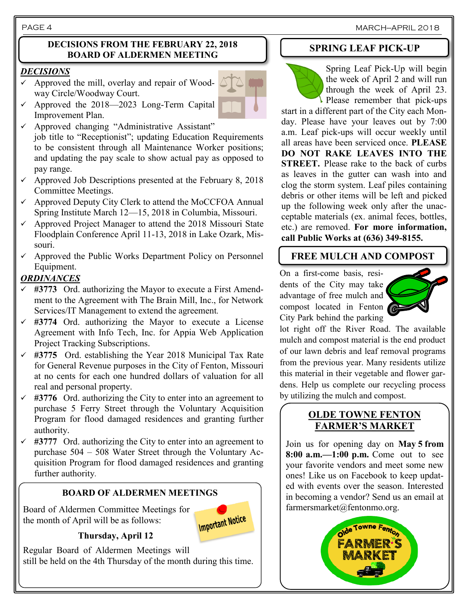PAGE 4 MARCH—APRIL 2018

#### **DECISIONS FROM THE FEBRUARY 22, 2018 BOARD OF ALDERMEN MEETING**

#### *DECISIONS*

- $\checkmark$  Approved the mill, overlay and repair of Woodway Circle/Woodway Court.
- $\checkmark$  Approved the 2018—2023 Long-Term Capital Improvement Plan.
- ✓ Approved changing "Administrative Assistant" job title to "Receptionist"; updating Education Requirements to be consistent through all Maintenance Worker positions; and updating the pay scale to show actual pay as opposed to pay range.
- $\checkmark$  Approved Job Descriptions presented at the February 8, 2018 Committee Meetings.
- ✓ Approved Deputy City Clerk to attend the MoCCFOA Annual Spring Institute March 12—15, 2018 in Columbia, Missouri.
- $\checkmark$  Approved Project Manager to attend the 2018 Missouri State Floodplain Conference April 11-13, 2018 in Lake Ozark, Missouri.
- $\checkmark$  Approved the Public Works Department Policy on Personnel Equipment.

### *ORDINANCES*

- #3773 Ord. authorizing the Mayor to execute a First Amendment to the Agreement with The Brain Mill, Inc., for Network Services/IT Management to extend the agreement*.*
- ✓ **#3774** Ord. authorizing the Mayor to execute a License Agreement with Info Tech, Inc. for Appia Web Application Project Tracking Subscriptions.
- ✓ **#3775** Ord. establishing the Year 2018 Municipal Tax Rate for General Revenue purposes in the City of Fenton, Missouri at no cents for each one hundred dollars of valuation for all real and personal property.
- $\checkmark$  #3776 Ord. authorizing the City to enter into an agreement to purchase 5 Ferry Street through the Voluntary Acquisition Program for flood damaged residences and granting further authority.
- $\checkmark$  #3777 Ord. authorizing the City to enter into an agreement to purchase 504 – 508 Water Street through the Voluntary Acquisition Program for flood damaged residences and granting further authority.

#### **BOARD OF ALDERMEN MEETINGS**

Board of Aldermen Committee Meetings for the month of April will be as follows:

**Important Notice** 

#### **Thursday, April 12**

Regular Board of Aldermen Meetings will still be held on the 4th Thursday of the month during this time.

# **SPRING LEAF PICK-UP**

Spring Leaf Pick-Up will begin the week of April 2 and will run through the week of April 23. Please remember that pick-ups

start in a different part of the City each Monday. Please have your leaves out by 7:00 a.m. Leaf pick-ups will occur weekly until all areas have been serviced once. **PLEASE DO NOT RAKE LEAVES INTO THE STREET.** Please rake to the back of curbs as leaves in the gutter can wash into and clog the storm system. Leaf piles containing debris or other items will be left and picked up the following week only after the unacceptable materials (ex. animal feces, bottles, etc.) are removed. **For more information, call Public Works at (636) 349-8155.**

# **FREE MULCH AND COMPOST**

On a first-come basis, residents of the City may take advantage of free mulch and compost located in Fenton City Park behind the parking



lot right off the River Road. The available mulch and compost material is the end product of our lawn debris and leaf removal programs from the previous year. Many residents utilize this material in their vegetable and flower gardens. Help us complete our recycling process by utilizing the mulch and compost.

## **OLDE TOWNE FENTON FARMER'S MARKET**

Join us for opening day on **May 5 from 8:00 a.m.**—1:00 p.m. Come out to see your favorite vendors and meet some new ones! Like us on Facebook to keep updated with events over the season. Interested in becoming a vendor? Send us an email at farmersmarket@fentonmo.org.



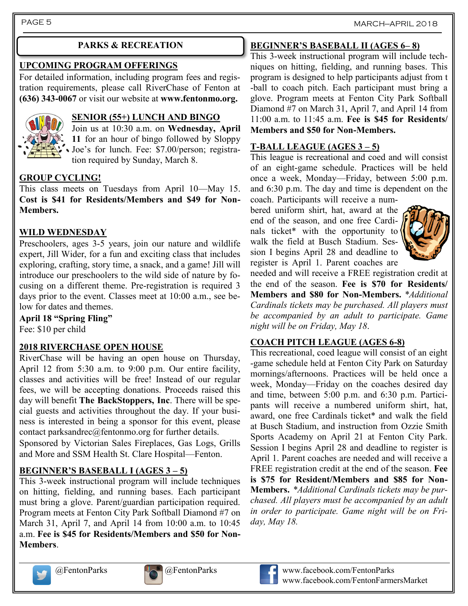### **PARKS & RECREATION**

# **UPCOMING PROGRAM OFFERINGS**

For detailed information, including program fees and registration requirements, please call RiverChase of Fenton at **(636) 343-0067** or visit our website at **www.fentonmo.org.**



## **SENIOR (55+) LUNCH AND BINGO**

Join us at 10:30 a.m. on **Wednesday, April 11** for an hour of bingo followed by Sloppy Joe's for lunch. Fee: \$7.00/person; registration required by Sunday, March 8.

#### **GROUP CYCLING!**

This class meets on Tuesdays from April 10—May 15. **Cost is \$41 for Residents/Members and \$49 for Non-Members.**

#### **WILD WEDNESDAY**

Preschoolers, ages 3-5 years, join our nature and wildlife expert, Jill Wider, for a fun and exciting class that includes exploring, crafting, story time, a snack, and a game! Jill will introduce our preschoolers to the wild side of nature by focusing on a different theme. Pre-registration is required 3 days prior to the event. Classes meet at 10:00 a.m., see below for dates and themes.

**April 18 "Spring Fling"** Fee: \$10 per child

#### **2018 RIVERCHASE OPEN HOUSE**

RiverChase will be having an open house on Thursday, April 12 from 5:30 a.m. to 9:00 p.m. Our entire facility, classes and activities will be free! Instead of our regular fees, we will be accepting donations. Proceeds raised this day will benefit **The BackStoppers, Inc**. There will be special guests and activities throughout the day. If your business is interested in being a sponsor for this event, please contact parksandrec@fentonmo.org for further details.

Sponsored by Victorian Sales Fireplaces, Gas Logs, Grills and More and SSM Health St. Clare Hospital—Fenton.

## **BEGINNER'S BASEBALL I (AGES 3 – 5)**

This 3-week instructional program will include techniques on hitting, fielding, and running bases. Each participant must bring a glove. Parent/guardian participation required. Program meets at Fenton City Park Softball Diamond #7 on March 31, April 7, and April 14 from 10:00 a.m. to 10:45 a.m. **Fee is \$45 for Residents/Members and \$50 for Non-Members**.

# **BEGINNER'S BASEBALL II (AGES 6– 8)**

This 3-week instructional program will include techniques on hitting, fielding, and running bases. This program is designed to help participants adjust from t -ball to coach pitch. Each participant must bring a glove. Program meets at Fenton City Park Softball Diamond #7 on March 31, April 7, and April 14 from 11:00 a.m. to 11:45 a.m. **Fee is \$45 for Residents/ Members and \$50 for Non-Members.**

#### **T-BALL LEAGUE (AGES 3 – 5)**

This league is recreational and coed and will consist of an eight-game schedule. Practices will be held once a week, Monday—Friday, between 5:00 p.m. and 6:30 p.m. The day and time is dependent on the coach. Participants will receive a num-

bered uniform shirt, hat, award at the end of the season, and one free Cardinals ticket\* with the opportunity to walk the field at Busch Stadium. Session I begins April 28 and deadline to register is April 1. Parent coaches are



needed and will receive a FREE registration credit at the end of the season. **Fee is \$70 for Residents/ Members and \$80 for Non-Members.** *\*Additional Cardinals tickets may be purchased. All players must be accompanied by an adult to participate. Game night will be on Friday, May 18*.

#### **COACH PITCH LEAGUE (AGES 6-8)**

This recreational, coed league will consist of an eight -game schedule held at Fenton City Park on Saturday mornings/afternoons. Practices will be held once a week, Monday—Friday on the coaches desired day and time, between 5:00 p.m. and 6:30 p.m. Participants will receive a numbered uniform shirt, hat, award, one free Cardinals ticket\* and walk the field at Busch Stadium, and instruction from Ozzie Smith Sports Academy on April 21 at Fenton City Park. Session I begins April 28 and deadline to register is April 1. Parent coaches are needed and will receive a FREE registration credit at the end of the season. **Fee is \$75 for Resident/Members and \$85 for Non-Members.** *\*Additional Cardinals tickets may be purchased. All players must be accompanied by an adult in order to participate. Game night will be on Friday, May 18.*







@FentonParks @FentonParks www.facebook.com/FentonParks www.facebook.com/FentonFarmersMarket